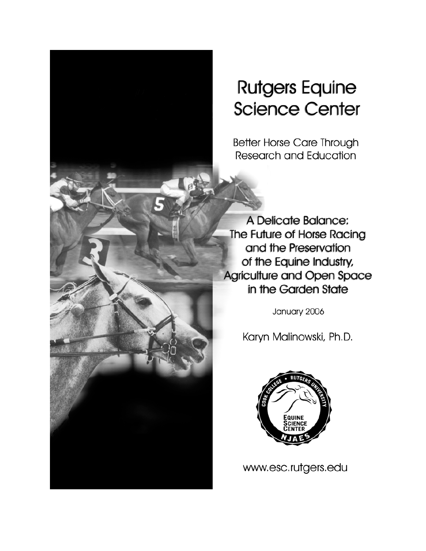# **Rutgers Equine Science Center**

**Better Horse Care Through Research and Education** 

A Delicate Balance: The Future of Horse Racing and the Preservation of the Equine Industry, Agriculture and Open Space in the Garden State

January 2006

Karyn Malinowski, Ph.D.



www.esc.rutgers.edu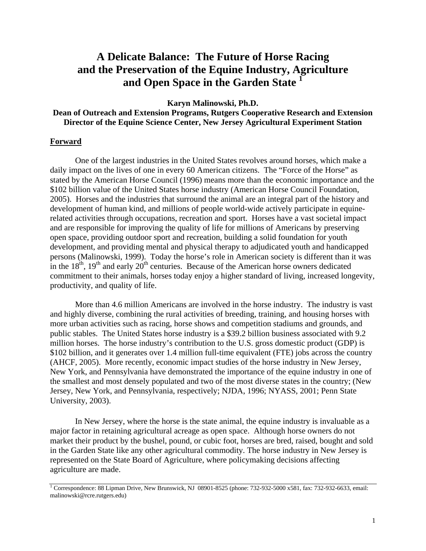# **A Delicate Balance: The Future of Horse Racing and the Preservation of the Equine Industry, Agriculture and Open Space in the Garden State 1**

**Karyn Malinowski, Ph.D.** 

#### **Dean of Outreach and Extension Programs, Rutgers Cooperative Research and Extension Director of the Equine Science Center, New Jersey Agricultural Experiment Station**

#### **Forward**

One of the largest industries in the United States revolves around horses, which make a daily impact on the lives of one in every 60 American citizens. The "Force of the Horse" as stated by the American Horse Council (1996) means more than the economic importance and the \$102 billion value of the United States horse industry (American Horse Council Foundation, 2005). Horses and the industries that surround the animal are an integral part of the history and development of human kind, and millions of people world-wide actively participate in equinerelated activities through occupations, recreation and sport. Horses have a vast societal impact and are responsible for improving the quality of life for millions of Americans by preserving open space, providing outdoor sport and recreation, building a solid foundation for youth development, and providing mental and physical therapy to adjudicated youth and handicapped persons (Malinowski, 1999). Today the horse's role in American society is different than it was in the  $18<sup>th</sup>$ ,  $19<sup>th</sup>$  and early  $20<sup>th</sup>$  centuries. Because of the American horse owners dedicated commitment to their animals, horses today enjoy a higher standard of living, increased longevity, productivity, and quality of life.

More than 4.6 million Americans are involved in the horse industry. The industry is vast and highly diverse, combining the rural activities of breeding, training, and housing horses with more urban activities such as racing, horse shows and competition stadiums and grounds, and public stables. The United States horse industry is a \$39.2 billion business associated with 9.2 million horses. The horse industry's contribution to the U.S. gross domestic product (GDP) is \$102 billion, and it generates over 1.4 million full-time equivalent (FTE) jobs across the country (AHCF, 2005). More recently, economic impact studies of the horse industry in New Jersey, New York, and Pennsylvania have demonstrated the importance of the equine industry in one of the smallest and most densely populated and two of the most diverse states in the country; (New Jersey, New York, and Pennsylvania, respectively; NJDA, 1996; NYASS, 2001; Penn State University, 2003).

In New Jersey, where the horse is the state animal, the equine industry is invaluable as a major factor in retaining agricultural acreage as open space. Although horse owners do not market their product by the bushel, pound, or cubic foot, horses are bred, raised, bought and sold in the Garden State like any other agricultural commodity. The horse industry in New Jersey is represented on the State Board of Agriculture, where policymaking decisions affecting agriculture are made.

<sup>1</sup> Correspondence: 88 Lipman Drive, New Brunswick, NJ 08901-8525 (phone: 732-932-5000 x581, fax: 732-932-6633, email: [malinowski@rcre.rutgers.edu\)](mailto:malinowski@rcre.rutgers.edu)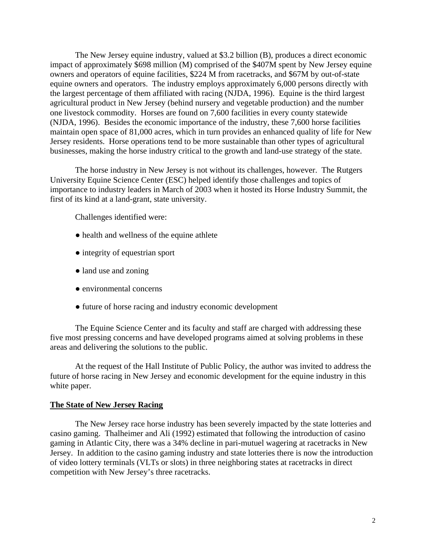The New Jersey equine industry, valued at \$3.2 billion (B), produces a direct economic impact of approximately \$698 million (M) comprised of the \$407M spent by New Jersey equine owners and operators of equine facilities, \$224 M from racetracks, and \$67M by out-of-state equine owners and operators. The industry employs approximately 6,000 persons directly with the largest percentage of them affiliated with racing (NJDA, 1996). Equine is the third largest agricultural product in New Jersey (behind nursery and vegetable production) and the number one livestock commodity. Horses are found on 7,600 facilities in every county statewide (NJDA, 1996). Besides the economic importance of the industry, these 7,600 horse facilities maintain open space of 81,000 acres, which in turn provides an enhanced quality of life for New Jersey residents. Horse operations tend to be more sustainable than other types of agricultural businesses, making the horse industry critical to the growth and land-use strategy of the state.

The horse industry in New Jersey is not without its challenges, however. The Rutgers University Equine Science Center (ESC) helped identify those challenges and topics of importance to industry leaders in March of 2003 when it hosted its Horse Industry Summit, the first of its kind at a land-grant, state university.

Challenges identified were:

- health and wellness of the equine athlete
- integrity of equestrian sport
- land use and zoning
- environmental concerns
- future of horse racing and industry economic development

The Equine Science Center and its faculty and staff are charged with addressing these five most pressing concerns and have developed programs aimed at solving problems in these areas and delivering the solutions to the public.

At the request of the Hall Institute of Public Policy, the author was invited to address the future of horse racing in New Jersey and economic development for the equine industry in this white paper.

#### **The State of New Jersey Racing**

The New Jersey race horse industry has been severely impacted by the state lotteries and casino gaming. Thalheimer and Ali (1992) estimated that following the introduction of casino gaming in Atlantic City, there was a 34% decline in pari-mutuel wagering at racetracks in New Jersey. In addition to the casino gaming industry and state lotteries there is now the introduction of video lottery terminals (VLTs or slots) in three neighboring states at racetracks in direct competition with New Jersey's three racetracks.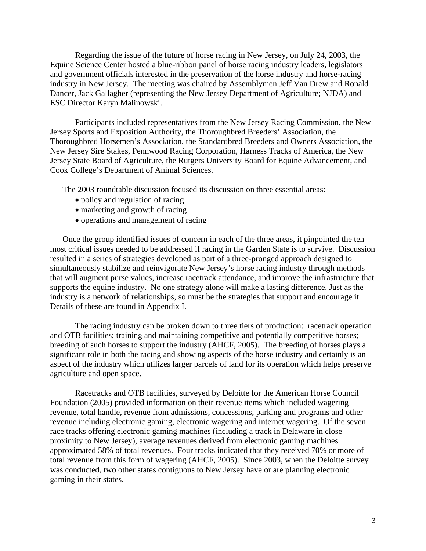Regarding the issue of the future of horse racing in New Jersey, on July 24, 2003, the Equine Science Center hosted a blue-ribbon panel of horse racing industry leaders, legislators and government officials interested in the preservation of the horse industry and horse-racing industry in New Jersey. The meeting was chaired by Assemblymen Jeff Van Drew and Ronald Dancer, Jack Gallagher (representing the New Jersey Department of Agriculture; NJDA) and ESC Director Karyn Malinowski.

Participants included representatives from the New Jersey Racing Commission, the New Jersey Sports and Exposition Authority, the Thoroughbred Breeders' Association, the Thoroughbred Horsemen's Association, the Standardbred Breeders and Owners Association, the New Jersey Sire Stakes, Pennwood Racing Corporation, Harness Tracks of America, the New Jersey State Board of Agriculture, the Rutgers University Board for Equine Advancement, and Cook College's Department of Animal Sciences.

The 2003 roundtable discussion focused its discussion on three essential areas:

- policy and regulation of racing
- marketing and growth of racing
- operations and management of racing

Once the group identified issues of concern in each of the three areas, it pinpointed the ten most critical issues needed to be addressed if racing in the Garden State is to survive. Discussion resulted in a series of strategies developed as part of a three-pronged approach designed to simultaneously stabilize and reinvigorate New Jersey's horse racing industry through methods that will augment purse values, increase racetrack attendance, and improve the infrastructure that supports the equine industry. No one strategy alone will make a lasting difference. Just as the industry is a network of relationships, so must be the strategies that support and encourage it. Details of these are found in Appendix I.

The racing industry can be broken down to three tiers of production: racetrack operation and OTB facilities; training and maintaining competitive and potentially competitive horses; breeding of such horses to support the industry (AHCF, 2005). The breeding of horses plays a significant role in both the racing and showing aspects of the horse industry and certainly is an aspect of the industry which utilizes larger parcels of land for its operation which helps preserve agriculture and open space.

Racetracks and OTB facilities, surveyed by Deloitte for the American Horse Council Foundation (2005) provided information on their revenue items which included wagering revenue, total handle, revenue from admissions, concessions, parking and programs and other revenue including electronic gaming, electronic wagering and internet wagering. Of the seven race tracks offering electronic gaming machines (including a track in Delaware in close proximity to New Jersey), average revenues derived from electronic gaming machines approximated 58% of total revenues. Four tracks indicated that they received 70% or more of total revenue from this form of wagering (AHCF, 2005). Since 2003, when the Deloitte survey was conducted, two other states contiguous to New Jersey have or are planning electronic gaming in their states.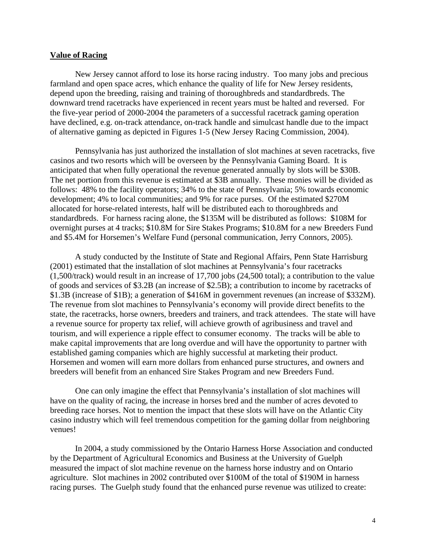#### **Value of Racing**

New Jersey cannot afford to lose its horse racing industry. Too many jobs and precious farmland and open space acres, which enhance the quality of life for New Jersey residents, depend upon the breeding, raising and training of thoroughbreds and standardbreds. The downward trend racetracks have experienced in recent years must be halted and reversed. For the five-year period of 2000-2004 the parameters of a successful racetrack gaming operation have declined, e.g. on-track attendance, on-track handle and simulcast handle due to the impact of alternative gaming as depicted in Figures 1-5 (New Jersey Racing Commission, 2004).

Pennsylvania has just authorized the installation of slot machines at seven racetracks, five casinos and two resorts which will be overseen by the Pennsylvania Gaming Board. It is anticipated that when fully operational the revenue generated annually by slots will be \$30B. The net portion from this revenue is estimated at \$3B annually. These monies will be divided as follows: 48% to the facility operators; 34% to the state of Pennsylvania; 5% towards economic development; 4% to local communities; and 9% for race purses. Of the estimated \$270M allocated for horse-related interests, half will be distributed each to thoroughbreds and standardbreds. For harness racing alone, the \$135M will be distributed as follows: \$108M for overnight purses at 4 tracks; \$10.8M for Sire Stakes Programs; \$10.8M for a new Breeders Fund and \$5.4M for Horsemen's Welfare Fund (personal communication, Jerry Connors, 2005).

A study conducted by the Institute of State and Regional Affairs, Penn State Harrisburg (2001) estimated that the installation of slot machines at Pennsylvania's four racetracks (1,500/track) would result in an increase of 17,700 jobs (24,500 total); a contribution to the value of goods and services of \$3.2B (an increase of \$2.5B); a contribution to income by racetracks of \$1.3B (increase of \$1B); a generation of \$416M in government revenues (an increase of \$332M). The revenue from slot machines to Pennsylvania's economy will provide direct benefits to the state, the racetracks, horse owners, breeders and trainers, and track attendees. The state will have a revenue source for property tax relief, will achieve growth of agribusiness and travel and tourism, and will experience a ripple effect to consumer economy. The tracks will be able to make capital improvements that are long overdue and will have the opportunity to partner with established gaming companies which are highly successful at marketing their product. Horsemen and women will earn more dollars from enhanced purse structures, and owners and breeders will benefit from an enhanced Sire Stakes Program and new Breeders Fund.

One can only imagine the effect that Pennsylvania's installation of slot machines will have on the quality of racing, the increase in horses bred and the number of acres devoted to breeding race horses. Not to mention the impact that these slots will have on the Atlantic City casino industry which will feel tremendous competition for the gaming dollar from neighboring venues!

In 2004, a study commissioned by the Ontario Harness Horse Association and conducted by the Department of Agricultural Economics and Business at the University of Guelph measured the impact of slot machine revenue on the harness horse industry and on Ontario agriculture. Slot machines in 2002 contributed over \$100M of the total of \$190M in harness racing purses. The Guelph study found that the enhanced purse revenue was utilized to create: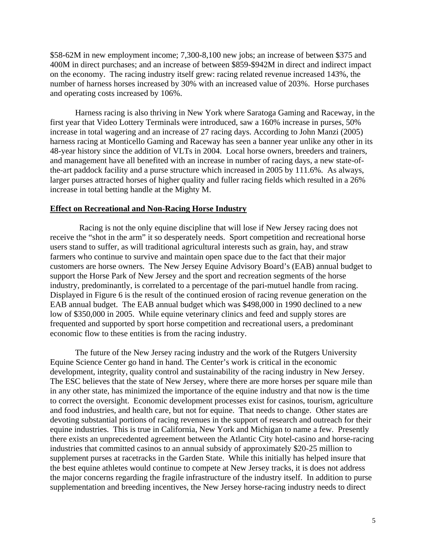\$58-62M in new employment income; 7,300-8,100 new jobs; an increase of between \$375 and 400M in direct purchases; and an increase of between \$859-\$942M in direct and indirect impact on the economy. The racing industry itself grew: racing related revenue increased 143%, the number of harness horses increased by 30% with an increased value of 203%. Horse purchases and operating costs increased by 106%.

Harness racing is also thriving in New York where Saratoga Gaming and Raceway, in the first year that Video Lottery Terminals were introduced, saw a 160% increase in purses, 50% increase in total wagering and an increase of 27 racing days. According to John Manzi (2005) harness racing at Monticello Gaming and Raceway has seen a banner year unlike any other in its 48-year history since the addition of VLTs in 2004. Local horse owners, breeders and trainers, and management have all benefited with an increase in number of racing days, a new state-ofthe-art paddock facility and a purse structure which increased in 2005 by 111.6%. As always, larger purses attracted horses of higher quality and fuller racing fields which resulted in a 26% increase in total betting handle at the Mighty M.

#### **Effect on Recreational and Non-Racing Horse Industry**

 Racing is not the only equine discipline that will lose if New Jersey racing does not receive the "shot in the arm" it so desperately needs. Sport competition and recreational horse users stand to suffer, as will traditional agricultural interests such as grain, hay, and straw farmers who continue to survive and maintain open space due to the fact that their major customers are horse owners. The New Jersey Equine Advisory Board's (EAB) annual budget to support the Horse Park of New Jersey and the sport and recreation segments of the horse industry, predominantly, is correlated to a percentage of the pari-mutuel handle from racing. Displayed in Figure 6 is the result of the continued erosion of racing revenue generation on the EAB annual budget. The EAB annual budget which was \$498,000 in 1990 declined to a new low of \$350,000 in 2005. While equine veterinary clinics and feed and supply stores are frequented and supported by sport horse competition and recreational users, a predominant economic flow to these entities is from the racing industry.

The future of the New Jersey racing industry and the work of the Rutgers University Equine Science Center go hand in hand. The Center's work is critical in the economic development, integrity, quality control and sustainability of the racing industry in New Jersey. The ESC believes that the state of New Jersey, where there are more horses per square mile than in any other state, has minimized the importance of the equine industry and that now is the time to correct the oversight. Economic development processes exist for casinos, tourism, agriculture and food industries, and health care, but not for equine. That needs to change. Other states are devoting substantial portions of racing revenues in the support of research and outreach for their equine industries. This is true in California, New York and Michigan to name a few. Presently there exists an unprecedented agreement between the Atlantic City hotel-casino and horse-racing industries that committed casinos to an annual subsidy of approximately \$20-25 million to supplement purses at racetracks in the Garden State. While this initially has helped insure that the best equine athletes would continue to compete at New Jersey tracks, it is does not address the major concerns regarding the fragile infrastructure of the industry itself. In addition to purse supplementation and breeding incentives, the New Jersey horse-racing industry needs to direct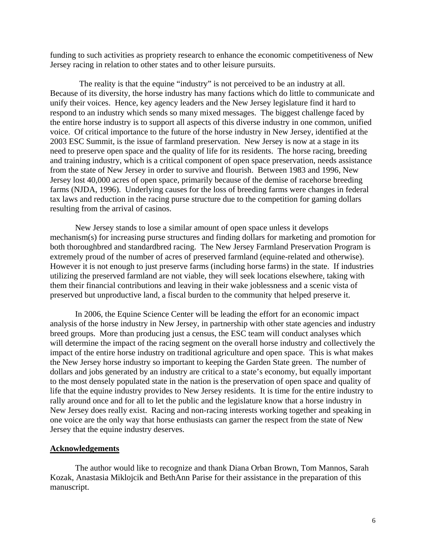funding to such activities as propriety research to enhance the economic competitiveness of New Jersey racing in relation to other states and to other leisure pursuits.

 The reality is that the equine "industry" is not perceived to be an industry at all. Because of its diversity, the horse industry has many factions which do little to communicate and unify their voices. Hence, key agency leaders and the New Jersey legislature find it hard to respond to an industry which sends so many mixed messages. The biggest challenge faced by the entire horse industry is to support all aspects of this diverse industry in one common, unified voice. Of critical importance to the future of the horse industry in New Jersey, identified at the 2003 ESC Summit, is the issue of farmland preservation. New Jersey is now at a stage in its need to preserve open space and the quality of life for its residents. The horse racing, breeding and training industry, which is a critical component of open space preservation, needs assistance from the state of New Jersey in order to survive and flourish. Between 1983 and 1996, New Jersey lost 40,000 acres of open space, primarily because of the demise of racehorse breeding farms (NJDA, 1996). Underlying causes for the loss of breeding farms were changes in federal tax laws and reduction in the racing purse structure due to the competition for gaming dollars resulting from the arrival of casinos.

New Jersey stands to lose a similar amount of open space unless it develops mechanism(s) for increasing purse structures and finding dollars for marketing and promotion for both thoroughbred and standardbred racing. The New Jersey Farmland Preservation Program is extremely proud of the number of acres of preserved farmland (equine-related and otherwise). However it is not enough to just preserve farms (including horse farms) in the state. If industries utilizing the preserved farmland are not viable, they will seek locations elsewhere, taking with them their financial contributions and leaving in their wake joblessness and a scenic vista of preserved but unproductive land, a fiscal burden to the community that helped preserve it.

In 2006, the Equine Science Center will be leading the effort for an economic impact analysis of the horse industry in New Jersey, in partnership with other state agencies and industry breed groups. More than producing just a census, the ESC team will conduct analyses which will determine the impact of the racing segment on the overall horse industry and collectively the impact of the entire horse industry on traditional agriculture and open space. This is what makes the New Jersey horse industry so important to keeping the Garden State green. The number of dollars and jobs generated by an industry are critical to a state's economy, but equally important to the most densely populated state in the nation is the preservation of open space and quality of life that the equine industry provides to New Jersey residents. It is time for the entire industry to rally around once and for all to let the public and the legislature know that a horse industry in New Jersey does really exist. Racing and non-racing interests working together and speaking in one voice are the only way that horse enthusiasts can garner the respect from the state of New Jersey that the equine industry deserves.

#### **Acknowledgements**

The author would like to recognize and thank Diana Orban Brown, Tom Mannos, Sarah Kozak, Anastasia Miklojcik and BethAnn Parise for their assistance in the preparation of this manuscript.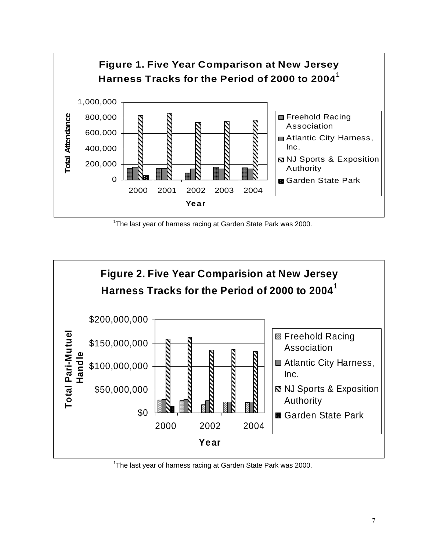

<sup>1</sup>The last year of harness racing at Garden State Park was 2000.



<sup>1</sup>The last year of harness racing at Garden State Park was 2000.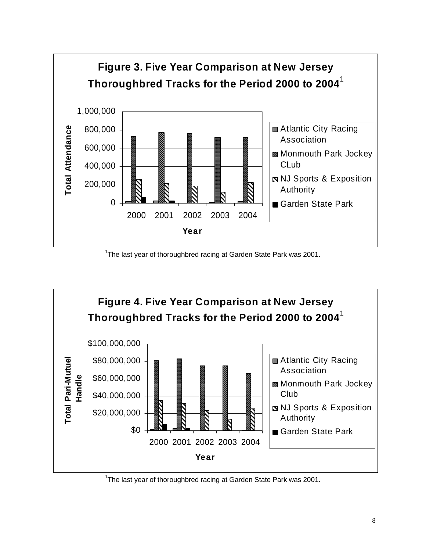

<sup>1</sup>The last year of thoroughbred racing at Garden State Park was 2001.



<sup>1</sup>The last year of thoroughbred racing at Garden State Park was 2001.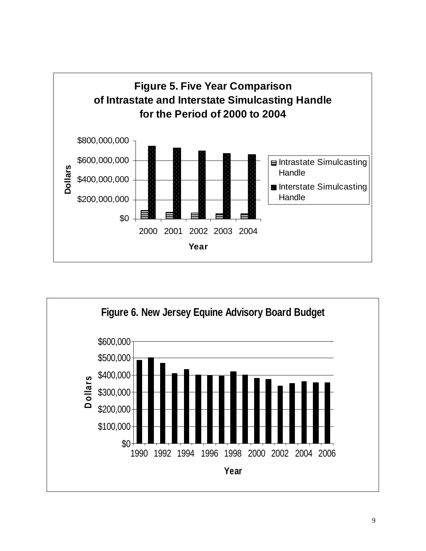

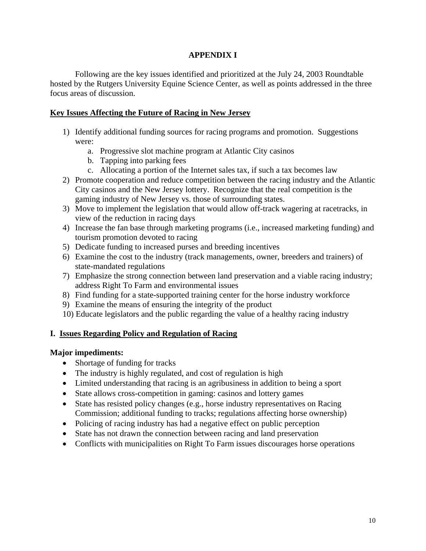# **APPENDIX I**

Following are the key issues identified and prioritized at the July 24, 2003 Roundtable hosted by the Rutgers University Equine Science Center, as well as points addressed in the three focus areas of discussion.

# **Key Issues Affecting the Future of Racing in New Jersey**

- 1) Identify additional funding sources for racing programs and promotion. Suggestions were:
	- a. Progressive slot machine program at Atlantic City casinos
	- b. Tapping into parking fees
	- c. Allocating a portion of the Internet sales tax, if such a tax becomes law
- 2) Promote cooperation and reduce competition between the racing industry and the Atlantic City casinos and the New Jersey lottery. Recognize that the real competition is the gaming industry of New Jersey vs. those of surrounding states.
- 3) Move to implement the legislation that would allow off-track wagering at racetracks, in view of the reduction in racing days
- 4) Increase the fan base through marketing programs (i.e., increased marketing funding) and tourism promotion devoted to racing
- 5) Dedicate funding to increased purses and breeding incentives
- 6) Examine the cost to the industry (track managements, owner, breeders and trainers) of state-mandated regulations
- 7) Emphasize the strong connection between land preservation and a viable racing industry; address Right To Farm and environmental issues
- 8) Find funding for a state-supported training center for the horse industry workforce
- 9) Examine the means of ensuring the integrity of the product
- 10) Educate legislators and the public regarding the value of a healthy racing industry

# **I. Issues Regarding Policy and Regulation of Racing**

# **Major impediments:**

- Shortage of funding for tracks
- The industry is highly regulated, and cost of regulation is high
- Limited understanding that racing is an agribusiness in addition to being a sport
- State allows cross-competition in gaming: casinos and lottery games
- State has resisted policy changes (e.g., horse industry representatives on Racing Commission; additional funding to tracks; regulations affecting horse ownership)
- Policing of racing industry has had a negative effect on public perception
- State has not drawn the connection between racing and land preservation
- Conflicts with municipalities on Right To Farm issues discourages horse operations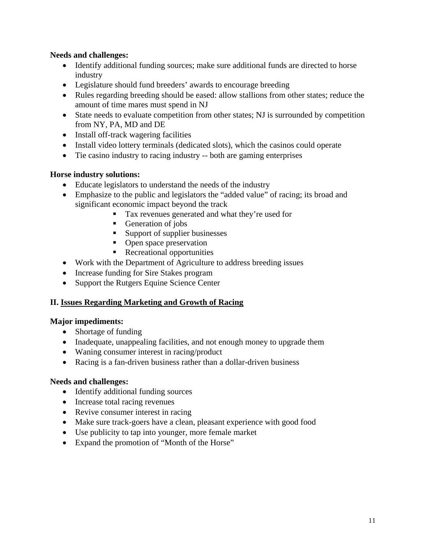## **Needs and challenges:**

- Identify additional funding sources; make sure additional funds are directed to horse industry
- Legislature should fund breeders' awards to encourage breeding
- Rules regarding breeding should be eased: allow stallions from other states; reduce the amount of time mares must spend in NJ
- State needs to evaluate competition from other states; NJ is surrounded by competition from NY, PA, MD and DE
- Install off-track wagering facilities
- Install video lottery terminals (dedicated slots), which the casinos could operate
- Tie casino industry to racing industry -- both are gaming enterprises

# **Horse industry solutions:**

- Educate legislators to understand the needs of the industry
- Emphasize to the public and legislators the "added value" of racing; its broad and significant economic impact beyond the track
	- Tax revenues generated and what they're used for
	- Generation of jobs
	- Support of supplier businesses
	- Open space preservation
	- **Recreational opportunities**
- Work with the Department of Agriculture to address breeding issues
- Increase funding for Sire Stakes program
- Support the Rutgers Equine Science Center

# **II. Issues Regarding Marketing and Growth of Racing**

# **Major impediments:**

- Shortage of funding
- Inadequate, unappealing facilities, and not enough money to upgrade them
- Waning consumer interest in racing/product
- Racing is a fan-driven business rather than a dollar-driven business

# **Needs and challenges:**

- Identify additional funding sources
- Increase total racing revenues
- Revive consumer interest in racing
- Make sure track-goers have a clean, pleasant experience with good food
- Use publicity to tap into younger, more female market
- Expand the promotion of "Month of the Horse"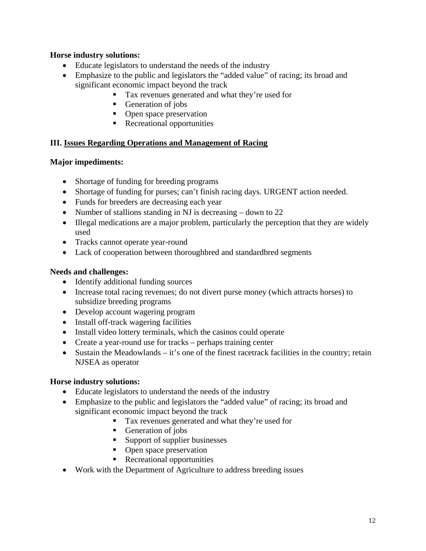# **Horse industry solutions:**

- Educate legislators to understand the needs of the industry
- Emphasize to the public and legislators the "added value" of racing; its broad and significant economic impact beyond the track
	- Tax revenues generated and what they're used for
	- Generation of jobs
	- Open space preservation
	- Recreational opportunities

# **III. Issues Regarding Operations and Management of Racing**

# **Major impediments:**

- Shortage of funding for breeding programs
- Shortage of funding for purses; can't finish racing days. URGENT action needed.
- Funds for breeders are decreasing each year
- Number of stallions standing in NJ is decreasing down to 22
- Illegal medications are a major problem, particularly the perception that they are widely used
- Tracks cannot operate year-round
- Lack of cooperation between thoroughbred and standardbred segments

# **Needs and challenges:**

- Identify additional funding sources
- Increase total racing revenues; do not divert purse money (which attracts horses) to subsidize breeding programs
- Develop account wagering program
- Install off-track wagering facilities
- Install video lottery terminals, which the casinos could operate
- Create a year-round use for tracks perhaps training center
- Sustain the Meadowlands it's one of the finest racetrack facilities in the country; retain NJSEA as operator

# **Horse industry solutions:**

- Educate legislators to understand the needs of the industry
- Emphasize to the public and legislators the "added value" of racing; its broad and significant economic impact beyond the track
	- Tax revenues generated and what they're used for
	- Generation of jobs
	- Support of supplier businesses
	- Open space preservation
	- Recreational opportunities
- Work with the Department of Agriculture to address breeding issues